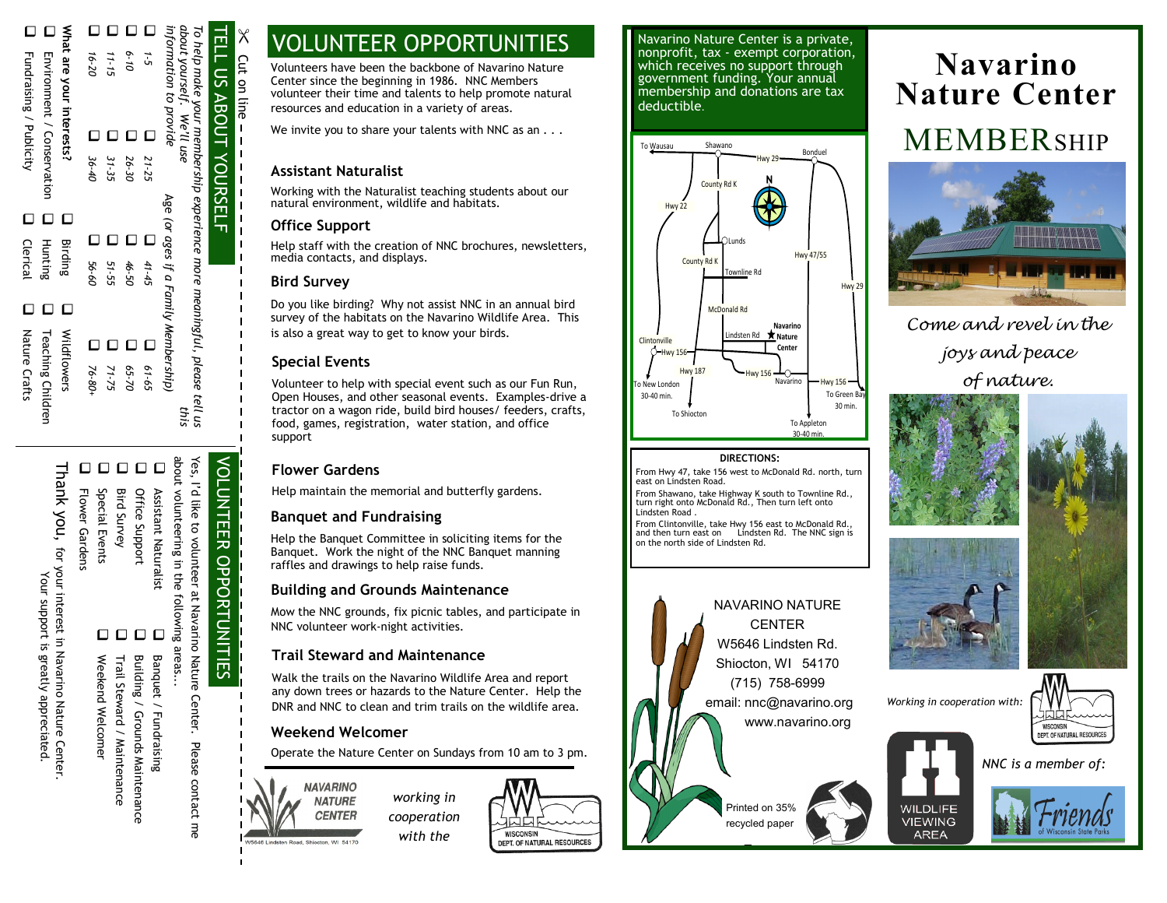| What are your interests?<br><b>I</b> Fundraising / Publicity<br>Environment / Conservation | $16 - 20$         | 11-15 | 6-10  | $1 - 5$ | TELL US ABOUT YOURSELF<br>information to provide<br>about yourself. We'll use<br>To help make your membership experience more meaningful, please tell us |  |
|--------------------------------------------------------------------------------------------|-------------------|-------|-------|---------|----------------------------------------------------------------------------------------------------------------------------------------------------------|--|
|                                                                                            |                   |       |       | C       |                                                                                                                                                          |  |
|                                                                                            | $\frac{1}{36-40}$ | 31-35 | 26-30 | 21-25   |                                                                                                                                                          |  |
|                                                                                            |                   |       |       |         |                                                                                                                                                          |  |
| $\Box$<br>Ċ<br>О                                                                           |                   |       |       |         |                                                                                                                                                          |  |
|                                                                                            |                   |       |       | Ċ       |                                                                                                                                                          |  |
| <b>Clerical</b><br>Hunting<br>Birding                                                      | 09-95 L           | 51-55 | 46-50 | 41-45   | Age (or ages if a Family Membership)                                                                                                                     |  |
| Ċ<br>L<br>□                                                                                |                   |       |       |         |                                                                                                                                                          |  |
| Nature Crafts                                                                              |                   |       |       |         |                                                                                                                                                          |  |
| Wildflowers<br><b>Teaching Children</b>                                                    | $\Box$ 76-80+     | 71-75 | 05-70 | 61-65   |                                                                                                                                                          |  |
|                                                                                            |                   |       |       |         |                                                                                                                                                          |  |
|                                                                                            |                   |       |       |         | this                                                                                                                                                     |  |

00000

Thank you, for your interest in Navarino Nature Center. Thank you, for your interest in Navarino Nature Center. Your support is greatly appreciated Your support is greatly appreciated.

Flower Gardens Special Events

Trail Steward / Maintenance Trail Steward / Maintenance Welcomer

Weekend Welcomer

- Weekend
- 
- 
- 
- 
- 
- 
- 
- 
- 
- 
- 
- 
- 
- 
- 
- 
- 
- 
- 
- 
- 
- 
- 
- 
- 
- 
- Building / Grounds Maintenance

0 0 0 0

- Banquet / Fundraising Building / Grounds Maintenance Banquet / Fundraising
	- Center. Please contact me

Yes, I'd like to volunteer at Navarino Nature Yes, I'd like to volunteer at Navarino Nature Center. Please contact me VOLUNTEER OPPORTUNITIES **VOLUNTEER OPPORTUNITIES** 

about volunteering in the following areas...

areas...

Assistant Naturalist Office Support Bird Survey Special Events Flower Gardens

Assistant Naturalist

Office Support **Bird Survey** 

# VOLUNTEER OPPORTUNITIES

Volunteers have been the backbone of Navarino Nature Center since the beginning in 1986. NNC Members volunteer their time and talents to help promote natural resources and education in a variety of areas.

We invite you to share your talents with NNC as an . . .

### **Assistant Naturalist**

Working with the Naturalist teaching students about our natural environment, wildlife and habitats.

### **Office Support**

 $\times$ 

Cut on line

on line

Cut

Help staff with the creation of NNC brochures, newsletters, media contacts, and displays.

### **Bird Survey**

Do you like birding? Why not assist NNC in an annual bird survey of the habitats on the Navarino Wildlife Area. This is also a great way to get to know your birds.

### **Special Events**

Volunteer to help with special event such as our Fun Run, Open Houses, and other seasonal events. Examples-drive a tractor on a wagon ride, build bird houses/ feeders, crafts, food, games, registration, water station, and office support

### **Flower Gardens**

Help maintain the memorial and butterfly gardens.

### **Banquet and Fundraising**

Help the Banquet Committee in soliciting items for the Banquet. Work the night of the NNC Banquet manning raffles and drawings to help raise funds.

#### **Building and Grounds Maintenance**

Mow the NNC grounds, fix picnic tables, and participate in NNC volunteer work-night activities.

### **Trail Steward and Maintenance**

Walk the trails on the Navarino Wildlife Area and report any down trees or hazards to the Nature Center. Help the DNR and NNC to clean and trim trails on the wildlife area.

#### **Weekend Welcomer**

**CENTER** 

Operate the Nature Center on Sundays from 10 am to 3 pm.



*working in cooperation with the* 



Navarino Nature Center is a private, nonprofit, tax - exempt corporation, which receives no support through government funding. Your annual membership and donations are tax deductible.



#### **DIRECTIONS:**

From Hwy 47, take 156 west to McDonald Rd. north, turn east on Lindsten Road.

From Shawano, take Highway K south to Townline Rd., turn right onto McDonald Rd., Then turn left onto Lindsten Road .

From Clintonville, take Hwy 156 east to McDonald Rd., and then turn east on Lindsten Rd. The NNC sign is on the north side of Lindsten Rd.



# **Navarino Nature Center** MEMBERSHIP



*Come and revel in the joys and peace of nature.*











WISCONSIN DEPT. OF NATURAL RESOURCES *NNC is a member of:*

WILDLIFE

**VIEWING** 

**AREA**